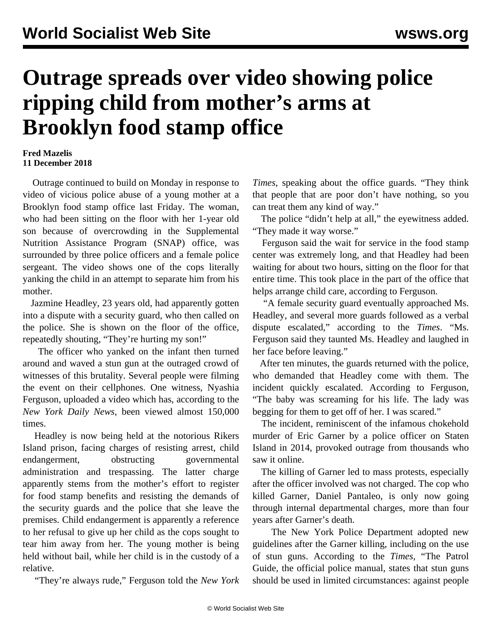## **Outrage spreads over video showing police ripping child from mother's arms at Brooklyn food stamp office**

## **Fred Mazelis 11 December 2018**

 Outrage continued to build on Monday in response to [video](https://www.facebook.com/nyashia.ferguson/videos/2165023130216850/) of vicious police abuse of a young mother at a Brooklyn food stamp office last Friday. The woman, who had been sitting on the floor with her 1-year old son because of overcrowding in the Supplemental Nutrition Assistance Program (SNAP) office, was surrounded by three police officers and a female police sergeant. The video shows one of the cops literally yanking the child in an attempt to separate him from his mother.

 Jazmine Headley, 23 years old, had apparently gotten into a dispute with a security guard, who then called on the police. She is shown on the floor of the office, repeatedly shouting, "They're hurting my son!"

 The officer who yanked on the infant then turned around and waved a stun gun at the outraged crowd of witnesses of this brutality. Several people were filming the event on their cellphones. One witness, Nyashia Ferguson, uploaded a video which has, according to the *New York Daily News*, been viewed almost 150,000 times.

 Headley is now being held at the notorious Rikers Island prison, facing charges of resisting arrest, child endangerment, obstructing governmental administration and trespassing. The latter charge apparently stems from the mother's effort to register for food stamp benefits and resisting the demands of the security guards and the police that she leave the premises. Child endangerment is apparently a reference to her refusal to give up her child as the cops sought to tear him away from her. The young mother is being held without bail, while her child is in the custody of a relative.

"They're always rude," Ferguson told the *New York*

*Times*, speaking about the office guards. "They think that people that are poor don't have nothing, so you can treat them any kind of way."

 The police "didn't help at all," the eyewitness added. "They made it way worse."

 Ferguson said the wait for service in the food stamp center was extremely long, and that Headley had been waiting for about two hours, sitting on the floor for that entire time. This took place in the part of the office that helps arrange child care, according to Ferguson.

 "A female security guard eventually approached Ms. Headley, and several more guards followed as a verbal dispute escalated," according to the *Times*. "Ms. Ferguson said they taunted Ms. Headley and laughed in her face before leaving."

 After ten minutes, the guards returned with the police, who demanded that Headley come with them. The incident quickly escalated. According to Ferguson, "The baby was screaming for his life. The lady was begging for them to get off of her. I was scared."

 The incident, reminiscent of the infamous chokehold murder of Eric Garner by a police officer on Staten Island in 2014, provoked outrage from thousands who saw it online.

 The killing of Garner led to mass protests, especially after the officer involved was not charged. The cop who killed Garner, Daniel Pantaleo, is only now going through internal departmental charges, more than four years after Garner's death.

 The New York Police Department adopted new guidelines after the Garner killing, including on the use of stun guns. According to the *Times,* "The Patrol Guide, the official police manual, states that stun guns should be used in limited circumstances: against people